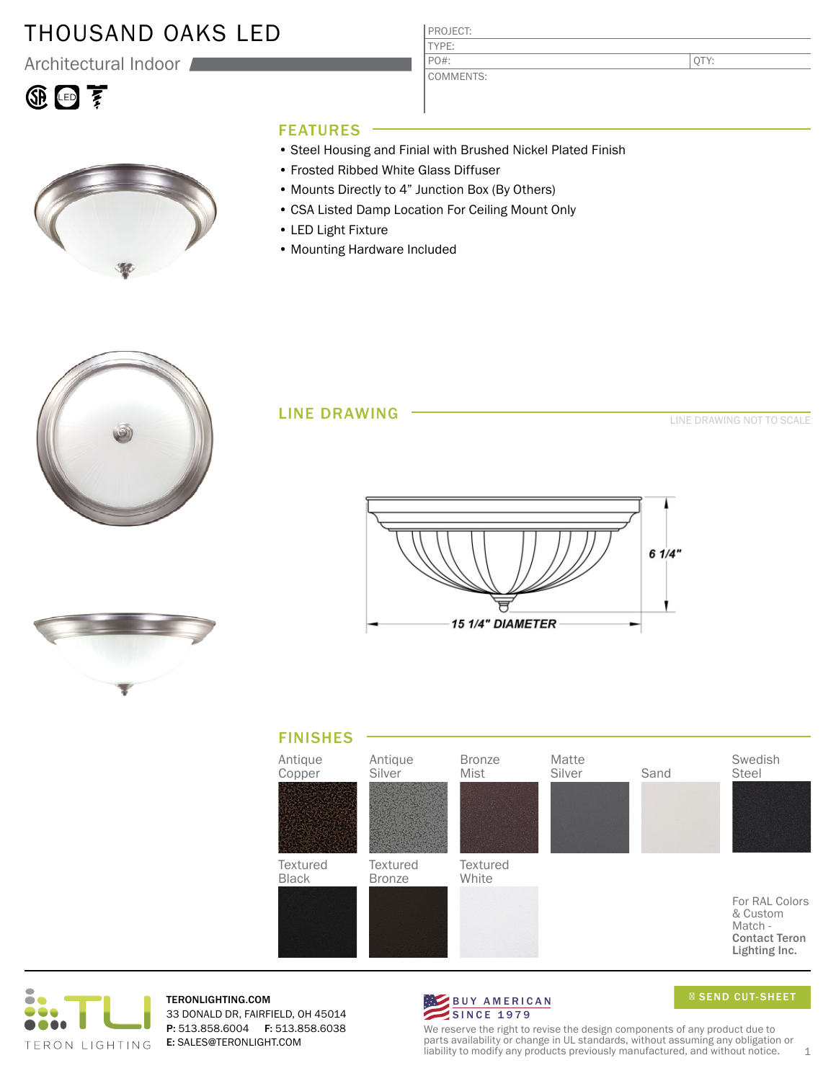# THOUSAND OAKS LED

Architectural Indoor

# 4回了



#### PROJECT: TYPE:

COMMENTS: PO#:

QTY:

### FEATURES

- Steel Housing and Finial with Brushed Nickel Plated Finish
- Frosted Ribbed White Glass Diffuser
- Mounts Directly to 4" Junction Box (By Others)
- CSA Listed Damp Location For Ceiling Mount Only
- LED Light Fixture
- Mounting Hardware Included



#### LINE DRAWING

LINE DRAWING NOT TO SCALE









TERONLIGHTING.COM 33 DONALD DR, FAIRFIELD, OH 45014 P: 513.858.6004 F: 513.858.6038 E: SALES@TERONLIGHT.COM



SEND CUT-SHEET

We reserve the right to revise the design components of any product due to parts availability or change in UL standards, without assuming any obligation or liability to modify any products previously manufactured, and without notice.  $1$